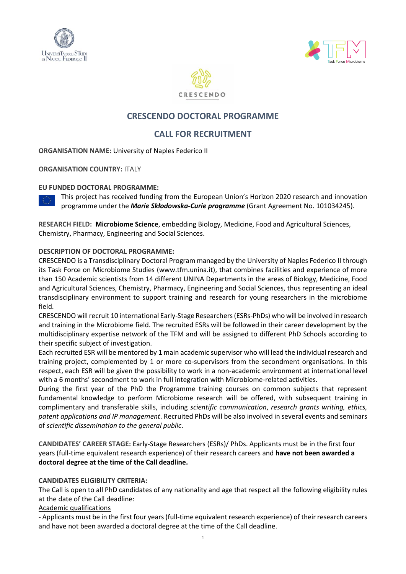





# **CRESCENDO DOCTORAL PROGRAMME**

# **CALL FOR RECRUITMENT**

**ORGANISATION NAME:** University of Naples Federico II

**ORGANISATION COUNTRY:** ITALY

### **EU FUNDED DOCTORAL PROGRAMME:**

This project has received funding from the European Union's Horizon 2020 research and innovation programme under the *Marie Skłodowska-Curie programme* (Grant Agreement No. 101034245).

**RESEARCH FIELD: Microbiome Science**, embedding Biology, Medicine, Food and Agricultural Sciences, Chemistry, Pharmacy, Engineering and Social Sciences.

## **DESCRIPTION OF DOCTORAL PROGRAMME:**

CRESCENDO is a Transdisciplinary Doctoral Program managed by the University of Naples Federico II through its Task Force on Microbiome Studies (www.tfm.unina.it), that combines facilities and experience of more than 150 Academic scientists from 14 different UNINA Departments in the areas of Biology, Medicine, Food and Agricultural Sciences, Chemistry, Pharmacy, Engineering and Social Sciences, thus representing an ideal transdisciplinary environment to support training and research for young researchers in the microbiome field.

CRESCENDO will recruit 10 international Early-Stage Researchers (ESRs-PhDs) who will be involved in research and training in the Microbiome field. The recruited ESRs will be followed in their career development by the multidisciplinary expertise network of the TFM and will be assigned to different PhD Schools according to their specific subject of investigation.

Each recruited ESR will be mentored by **1** main academic supervisor who will lead the individual research and training project, complemented by 1 or more co-supervisors from the secondment organisations. In this respect, each ESR will be given the possibility to work in a non-academic environment at international level with a 6 months' secondment to work in full integration with Microbiome-related activities.

During the first year of the PhD the Programme training courses on common subjects that represent fundamental knowledge to perform Microbiome research will be offered, with subsequent training in complimentary and transferable skills, including *scientific communication*, *research grants writing, ethics, patent applications and IP management*. Recruited PhDs will be also involved in several events and seminars of *scientific dissemination to the general public*.

**CANDIDATES' CAREER STAGE:** Early-Stage Researchers (ESRs)/ PhDs. Applicants must be in the first four years (full-time equivalent research experience) of their research careers and **have not been awarded a doctoral degree at the time of the Call deadline.**

## **CANDIDATES ELIGIBILITY CRITERIA:**

The Call is open to all PhD candidates of any nationality and age that respect all the following eligibility rules at the date of the Call deadline:

## Academic qualifications

- Applicants must be in the first four years (full-time equivalent research experience) of their research careers and have not been awarded a doctoral degree at the time of the Call deadline.